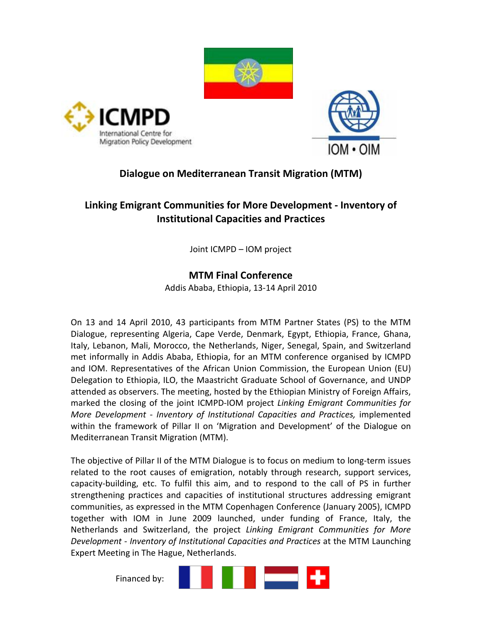





## Dialogue on Mediterranean Transit Migration (MTM)

# Linking Emigrant Communities for More Development - Inventory of Institutional Capacities and Practices

Joint ICMPD – IOM project

## MTM Final Conference

Addis Ababa, Ethiopia, 13-14 April 2010

On 13 and 14 April 2010, 43 participants from MTM Partner States (PS) to the MTM Dialogue, representing Algeria, Cape Verde, Denmark, Egypt, Ethiopia, France, Ghana, Italy, Lebanon, Mali, Morocco, the Netherlands, Niger, Senegal, Spain, and Switzerland met informally in Addis Ababa, Ethiopia, for an MTM conference organised by ICMPD and IOM. Representatives of the African Union Commission, the European Union (EU) Delegation to Ethiopia, ILO, the Maastricht Graduate School of Governance, and UNDP attended as observers. The meeting, hosted by the Ethiopian Ministry of Foreign Affairs, marked the closing of the joint ICMPD-IOM project Linking Emigrant Communities for More Development - Inventory of Institutional Capacities and Practices, implemented within the framework of Pillar II on 'Migration and Development' of the Dialogue on Mediterranean Transit Migration (MTM).

The objective of Pillar II of the MTM Dialogue is to focus on medium to long-term issues related to the root causes of emigration, notably through research, support services, capacity-building, etc. To fulfil this aim, and to respond to the call of PS in further strengthening practices and capacities of institutional structures addressing emigrant communities, as expressed in the MTM Copenhagen Conference (January 2005), ICMPD together with IOM in June 2009 launched, under funding of France, Italy, the Netherlands and Switzerland, the project Linking Emigrant Communities for More Development - Inventory of Institutional Capacities and Practices at the MTM Launching Expert Meeting in The Hague, Netherlands.

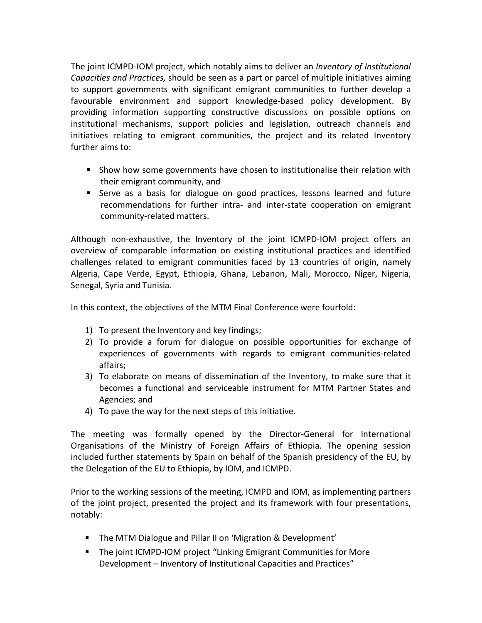The joint ICMPD-IOM project, which notably aims to deliver an *Inventory of Institutional* Capacities and Practices, should be seen as a part or parcel of multiple initiatives aiming to support governments with significant emigrant communities to further develop a favourable environment and support knowledge-based policy development. By providing information supporting constructive discussions on possible options on institutional mechanisms, support policies and legislation, outreach channels and initiatives relating to emigrant communities, the project and its related Inventory further aims to:

- Show how some governments have chosen to institutionalise their relation with their emigrant community, and
- Serve as a basis for dialogue on good practices, lessons learned and future recommendations for further intra- and inter-state cooperation on emigrant community-related matters.

Although non-exhaustive, the Inventory of the joint ICMPD-IOM project offers an overview of comparable information on existing institutional practices and identified challenges related to emigrant communities faced by 13 countries of origin, namely Algeria, Cape Verde, Egypt, Ethiopia, Ghana, Lebanon, Mali, Morocco, Niger, Nigeria, Senegal, Syria and Tunisia.

In this context, the objectives of the MTM Final Conference were fourfold:

- 1) To present the Inventory and key findings;
- 2) To provide a forum for dialogue on possible opportunities for exchange of experiences of governments with regards to emigrant communities-related affairs;
- 3) To elaborate on means of dissemination of the Inventory, to make sure that it becomes a functional and serviceable instrument for MTM Partner States and Agencies; and
- 4) To pave the way for the next steps of this initiative.

The meeting was formally opened by the Director-General for International Organisations of the Ministry of Foreign Affairs of Ethiopia. The opening session included further statements by Spain on behalf of the Spanish presidency of the EU, by the Delegation of the EU to Ethiopia, by IOM, and ICMPD.

Prior to the working sessions of the meeting, ICMPD and IOM, as implementing partners of the joint project, presented the project and its framework with four presentations, notably:

- **The MTM Dialogue and Pillar II on 'Migration & Development'**
- **The joint ICMPD-IOM project "Linking Emigrant Communities for More** Development – Inventory of Institutional Capacities and Practices"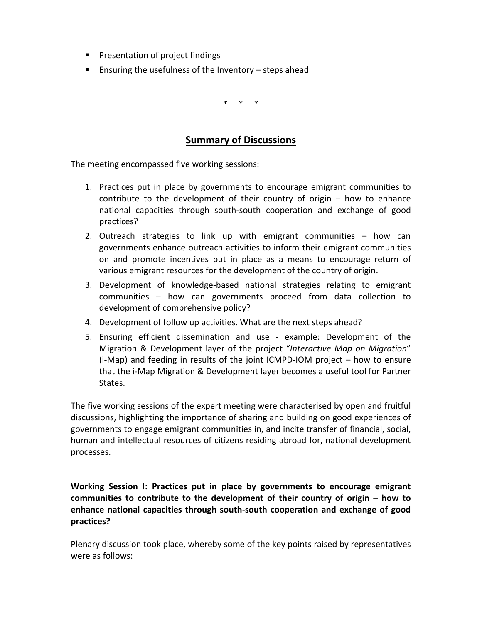- **Presentation of project findings**
- **Ensuring the usefulness of the Inventory steps ahead**

\* \* \*

### Summary of Discussions

The meeting encompassed five working sessions:

- 1. Practices put in place by governments to encourage emigrant communities to contribute to the development of their country of origin – how to enhance national capacities through south-south cooperation and exchange of good practices?
- 2. Outreach strategies to link up with emigrant communities how can governments enhance outreach activities to inform their emigrant communities on and promote incentives put in place as a means to encourage return of various emigrant resources for the development of the country of origin.
- 3. Development of knowledge-based national strategies relating to emigrant communities – how can governments proceed from data collection to development of comprehensive policy?
- 4. Development of follow up activities. What are the next steps ahead?
- 5. Ensuring efficient dissemination and use example: Development of the Migration & Development layer of the project "Interactive Map on Migration" (i-Map) and feeding in results of the joint ICMPD-IOM project – how to ensure that the i-Map Migration & Development layer becomes a useful tool for Partner States.

The five working sessions of the expert meeting were characterised by open and fruitful discussions, highlighting the importance of sharing and building on good experiences of governments to engage emigrant communities in, and incite transfer of financial, social, human and intellectual resources of citizens residing abroad for, national development processes.

Working Session I: Practices put in place by governments to encourage emigrant communities to contribute to the development of their country of origin – how to enhance national capacities through south-south cooperation and exchange of good practices?

Plenary discussion took place, whereby some of the key points raised by representatives were as follows: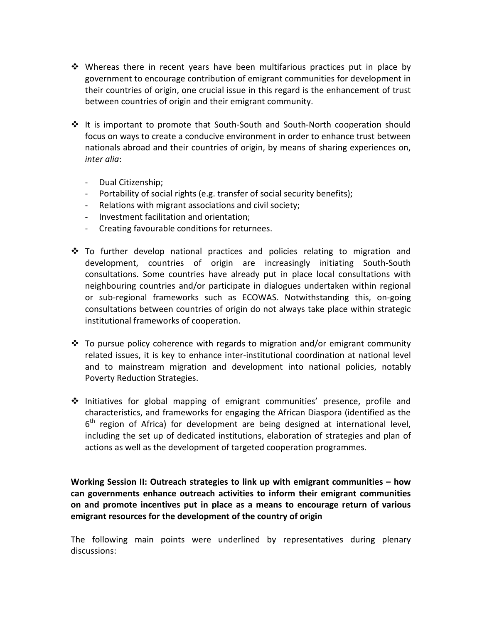- Whereas there in recent years have been multifarious practices put in place by government to encourage contribution of emigrant communities for development in their countries of origin, one crucial issue in this regard is the enhancement of trust between countries of origin and their emigrant community.
- It is important to promote that South-South and South-North cooperation should focus on ways to create a conducive environment in order to enhance trust between nationals abroad and their countries of origin, by means of sharing experiences on, inter alia:
	- Dual Citizenship;
	- Portability of social rights (e.g. transfer of social security benefits);
	- Relations with migrant associations and civil society;
	- Investment facilitation and orientation;
	- Creating favourable conditions for returnees.
- To further develop national practices and policies relating to migration and development, countries of origin are increasingly initiating South-South consultations. Some countries have already put in place local consultations with neighbouring countries and/or participate in dialogues undertaken within regional or sub-regional frameworks such as ECOWAS. Notwithstanding this, on-going consultations between countries of origin do not always take place within strategic institutional frameworks of cooperation.
- To pursue policy coherence with regards to migration and/or emigrant community related issues, it is key to enhance inter-institutional coordination at national level and to mainstream migration and development into national policies, notably Poverty Reduction Strategies.
- Initiatives for global mapping of emigrant communities' presence, profile and characteristics, and frameworks for engaging the African Diaspora (identified as the 6<sup>th</sup> region of Africa) for development are being designed at international level, including the set up of dedicated institutions, elaboration of strategies and plan of actions as well as the development of targeted cooperation programmes.

Working Session II: Outreach strategies to link up with emigrant communities – how can governments enhance outreach activities to inform their emigrant communities on and promote incentives put in place as a means to encourage return of various emigrant resources for the development of the country of origin

The following main points were underlined by representatives during plenary discussions: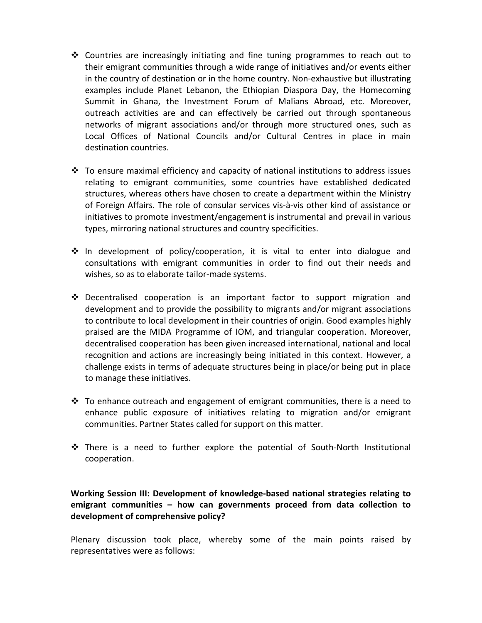- Countries are increasingly initiating and fine tuning programmes to reach out to their emigrant communities through a wide range of initiatives and/or events either in the country of destination or in the home country. Non-exhaustive but illustrating examples include Planet Lebanon, the Ethiopian Diaspora Day, the Homecoming Summit in Ghana, the Investment Forum of Malians Abroad, etc. Moreover, outreach activities are and can effectively be carried out through spontaneous networks of migrant associations and/or through more structured ones, such as Local Offices of National Councils and/or Cultural Centres in place in main destination countries.
- To ensure maximal efficiency and capacity of national institutions to address issues relating to emigrant communities, some countries have established dedicated structures, whereas others have chosen to create a department within the Ministry of Foreign Affairs. The role of consular services vis-à-vis other kind of assistance or initiatives to promote investment/engagement is instrumental and prevail in various types, mirroring national structures and country specificities.
- In development of policy/cooperation, it is vital to enter into dialogue and consultations with emigrant communities in order to find out their needs and wishes, so as to elaborate tailor-made systems.
- Decentralised cooperation is an important factor to support migration and development and to provide the possibility to migrants and/or migrant associations to contribute to local development in their countries of origin. Good examples highly praised are the MIDA Programme of IOM, and triangular cooperation. Moreover, decentralised cooperation has been given increased international, national and local recognition and actions are increasingly being initiated in this context. However, a challenge exists in terms of adequate structures being in place/or being put in place to manage these initiatives.
- To enhance outreach and engagement of emigrant communities, there is a need to enhance public exposure of initiatives relating to migration and/or emigrant communities. Partner States called for support on this matter.
- There is a need to further explore the potential of South-North Institutional cooperation.

Working Session III: Development of knowledge-based national strategies relating to emigrant communities – how can governments proceed from data collection to development of comprehensive policy?

Plenary discussion took place, whereby some of the main points raised by representatives were as follows: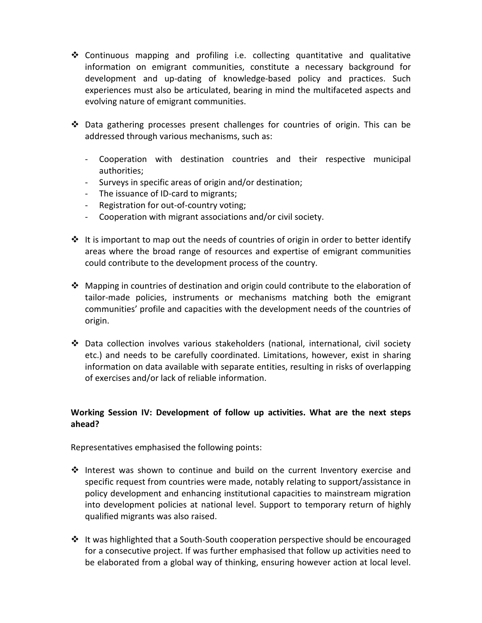- Continuous mapping and profiling i.e. collecting quantitative and qualitative information on emigrant communities, constitute a necessary background for development and up-dating of knowledge-based policy and practices. Such experiences must also be articulated, bearing in mind the multifaceted aspects and evolving nature of emigrant communities.
- Data gathering processes present challenges for countries of origin. This can be addressed through various mechanisms, such as:
	- Cooperation with destination countries and their respective municipal authorities;
	- Surveys in specific areas of origin and/or destination;
	- The issuance of ID-card to migrants;
	- Registration for out-of-country voting;
	- Cooperation with migrant associations and/or civil society.
- It is important to map out the needs of countries of origin in order to better identify areas where the broad range of resources and expertise of emigrant communities could contribute to the development process of the country.
- Mapping in countries of destination and origin could contribute to the elaboration of tailor-made policies, instruments or mechanisms matching both the emigrant communities' profile and capacities with the development needs of the countries of origin.
- Data collection involves various stakeholders (national, international, civil society etc.) and needs to be carefully coordinated. Limitations, however, exist in sharing information on data available with separate entities, resulting in risks of overlapping of exercises and/or lack of reliable information.

#### Working Session IV: Development of follow up activities. What are the next steps ahead?

Representatives emphasised the following points:

- Interest was shown to continue and build on the current Inventory exercise and specific request from countries were made, notably relating to support/assistance in policy development and enhancing institutional capacities to mainstream migration into development policies at national level. Support to temporary return of highly qualified migrants was also raised.
- It was highlighted that a South-South cooperation perspective should be encouraged for a consecutive project. If was further emphasised that follow up activities need to be elaborated from a global way of thinking, ensuring however action at local level.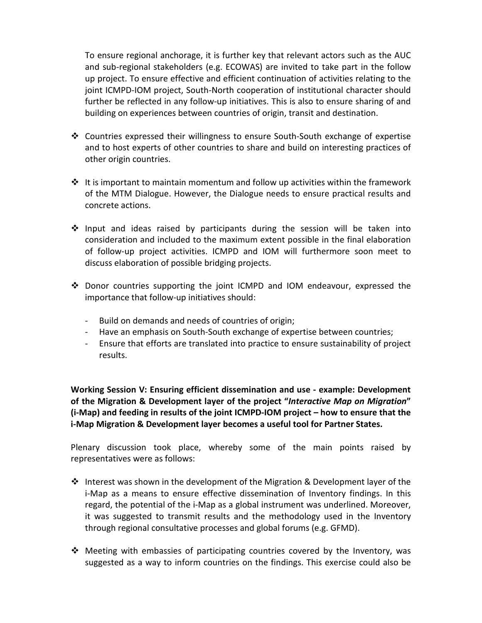To ensure regional anchorage, it is further key that relevant actors such as the AUC and sub-regional stakeholders (e.g. ECOWAS) are invited to take part in the follow up project. To ensure effective and efficient continuation of activities relating to the joint ICMPD-IOM project, South-North cooperation of institutional character should further be reflected in any follow-up initiatives. This is also to ensure sharing of and building on experiences between countries of origin, transit and destination.

- Countries expressed their willingness to ensure South-South exchange of expertise and to host experts of other countries to share and build on interesting practices of other origin countries.
- It is important to maintain momentum and follow up activities within the framework of the MTM Dialogue. However, the Dialogue needs to ensure practical results and concrete actions.
- Input and ideas raised by participants during the session will be taken into consideration and included to the maximum extent possible in the final elaboration of follow-up project activities. ICMPD and IOM will furthermore soon meet to discuss elaboration of possible bridging projects.
- Donor countries supporting the joint ICMPD and IOM endeavour, expressed the importance that follow-up initiatives should:
	- Build on demands and needs of countries of origin;
	- Have an emphasis on South-South exchange of expertise between countries;
	- Ensure that efforts are translated into practice to ensure sustainability of project results.

Working Session V: Ensuring efficient dissemination and use - example: Development of the Migration & Development layer of the project "Interactive Map on Migration" (i-Map) and feeding in results of the joint ICMPD-IOM project – how to ensure that the i-Map Migration & Development layer becomes a useful tool for Partner States.

Plenary discussion took place, whereby some of the main points raised by representatives were as follows:

- Interest was shown in the development of the Migration & Development layer of the i-Map as a means to ensure effective dissemination of Inventory findings. In this regard, the potential of the i-Map as a global instrument was underlined. Moreover, it was suggested to transmit results and the methodology used in the Inventory through regional consultative processes and global forums (e.g. GFMD).
- Meeting with embassies of participating countries covered by the Inventory, was suggested as a way to inform countries on the findings. This exercise could also be